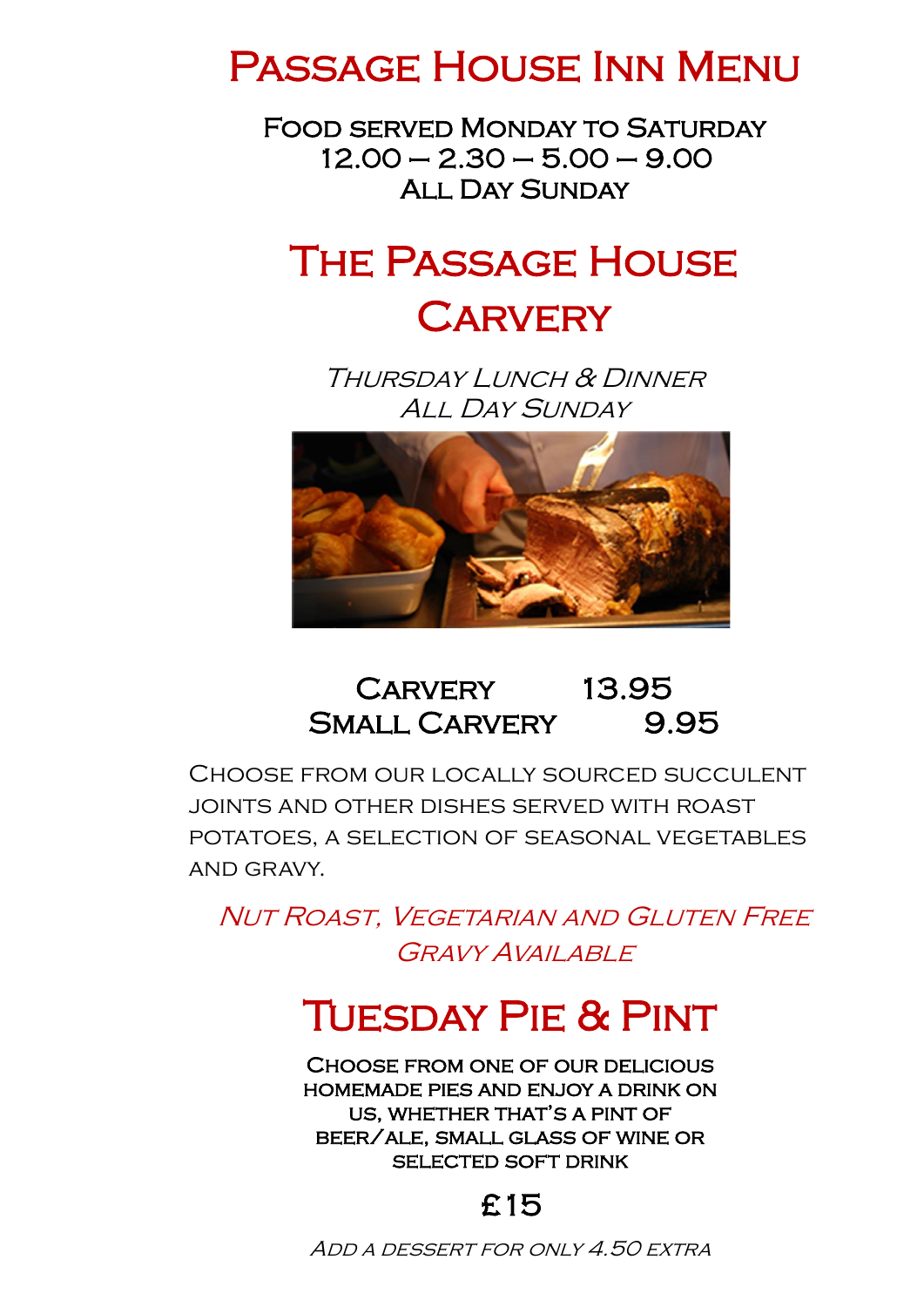## Passage House Inn Menu

Food served Monday to Saturday  $12.00 - 2.30 - 5.00 - 9.00$ All Day Sunday

## The Passage House

## **CARVERY**

Thursday Lunch & Dinner ALL DAY SUNDAY



## Carvery 13.95 SMALL CARVERY 9.95

Choose from our locally sourced succulent joints and other dishes served with roast potatoes, a selection of seasonal vegetables and gravy.

Nut Roast, Vegetarian and Gluten Free GRAVY AVAII ABLE

# TUESDAY PIE & PINT

Choose from one of our delicious homemade pies and enjoy a drink on us, whether that's a pint of beer/ale, small glass of wine or SELECTED SOFT DRINK

Add a dessert for only 4.50 extra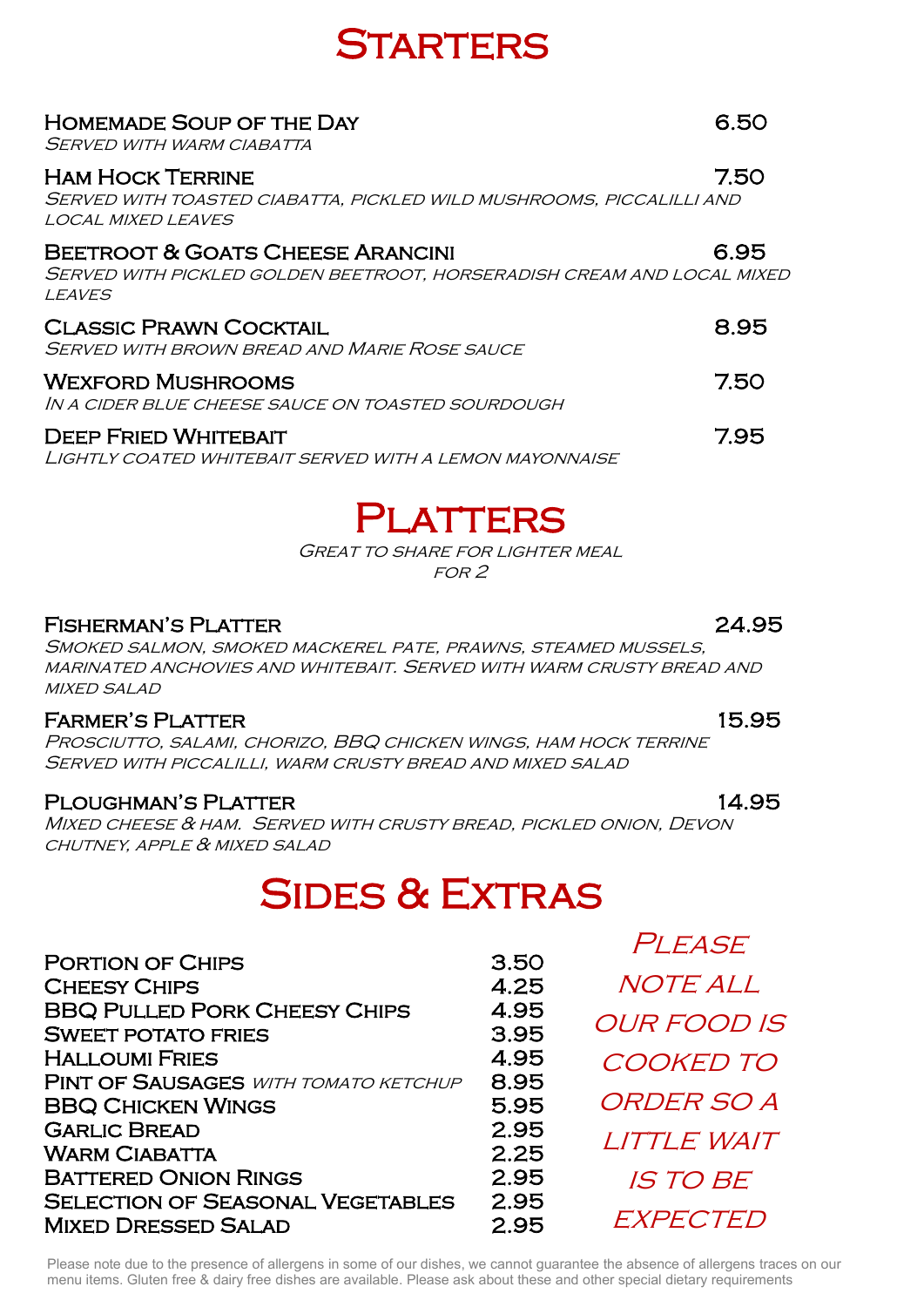## **STARTERS**

### Homemade Soup of the Day 6.50

Served with warm ciabatta

### Ham Hock Terrine 7.50

Served with toasted ciabatta, pickled wild mushrooms, piccalilli and local mixed leaves

### Beetroot & Goats Cheese Arancini 6.95

Served with pickled golden beetroot, horseradish cream and local mixed **LEAVES** 

### CLASSIC PRAWN COCKTAIL **External State CLASSIC PRAWN** COCKTAIL

Served with brown bread and Marie Rose sauce

#### WEXFORD MUSHROOMS **THE SET OF SET OF A SET OF A SET OF A SET OF A SET OF A SET OF A SET OF A SET OF A SET OF A SET OF A SET OF A SET OF A SET OF A SET OF A SET OF A SET OF A SET OF A SET OF A SET OF A SET OF A SET OF A SET**

In a cider blue cheese sauce on toasted sourdough

#### Deep Fried Whitebait 7.95

Lightly coated whitebait served with a lemon mayonnaise

## Platters

Great to share for lighter meal for 2

### Fisherman's Platter 24.95

 $\frac{N}{1}$ Smoked salmon, smoked mackerel pate, prawns, steamed mussels, marinated anchovies and whitebait. Served with warm crusty bread and **MIXED SALAD** 

### Farmer's Platter 15.95

**FARMER'S PLATTER**<br>Prosciutto, salami, chorizo, BBQ chicken wings, ham hock terrine Served with piccalilli, warm crusty bread and mixed salad

# elited mithogrephy, mitim crost i breto it to mitle stretch.<br>Ploughman's Platter

Mixed cheese & ham. Served with crusty bread, pickled onion, Devon chutney, apple & mixed salad

## Sides & Extras

| <b>PORTION OF CHIPS</b>                     | 3.50 | T LLAVL            |
|---------------------------------------------|------|--------------------|
| <b>CHEESY CHIPS</b>                         | 4.25 | <b>NOTE ALL</b>    |
| <b>BBQ PULLED PORK CHEESY CHIPS</b>         | 4.95 | <b>OUR FOOD IS</b> |
| <b>SWEET POTATO FRIES</b>                   | 3.95 |                    |
| <b>HALLOUMI FRIES</b>                       | 4.95 | <b>COOKED TO</b>   |
| <b>PINT OF SAUSAGES WITH TOMATO KETCHUP</b> | 8.95 |                    |
| <b>BBQ CHICKEN WINGS</b>                    | 5.95 | ORDER SO A         |
| <b>GARLIC BREAD</b>                         | 2.95 | LITTLE WAIT        |
| <b>WARM CIABATTA</b>                        | 2.25 |                    |
| <b>BATTERED ONION RINGS</b>                 | 2.95 | <b>IS TO BE</b>    |
| <b>SELECTION OF SEASONAL VEGETABLES</b>     | 2.95 |                    |
| <b>MIXED DRESSED SALAD</b>                  | 2.95 | EXPECTED           |
|                                             |      |                    |

Please note due to the presence of allergens in some of our dishes, we cannot guarantee the absence of allergens traces on our monutions. Cluter free 8 dains free dishes are available. Please ask about these and other apos menu items. Gluten free & dairy free dishes are available. Please ask about these and other special dietary requirements

PI FASE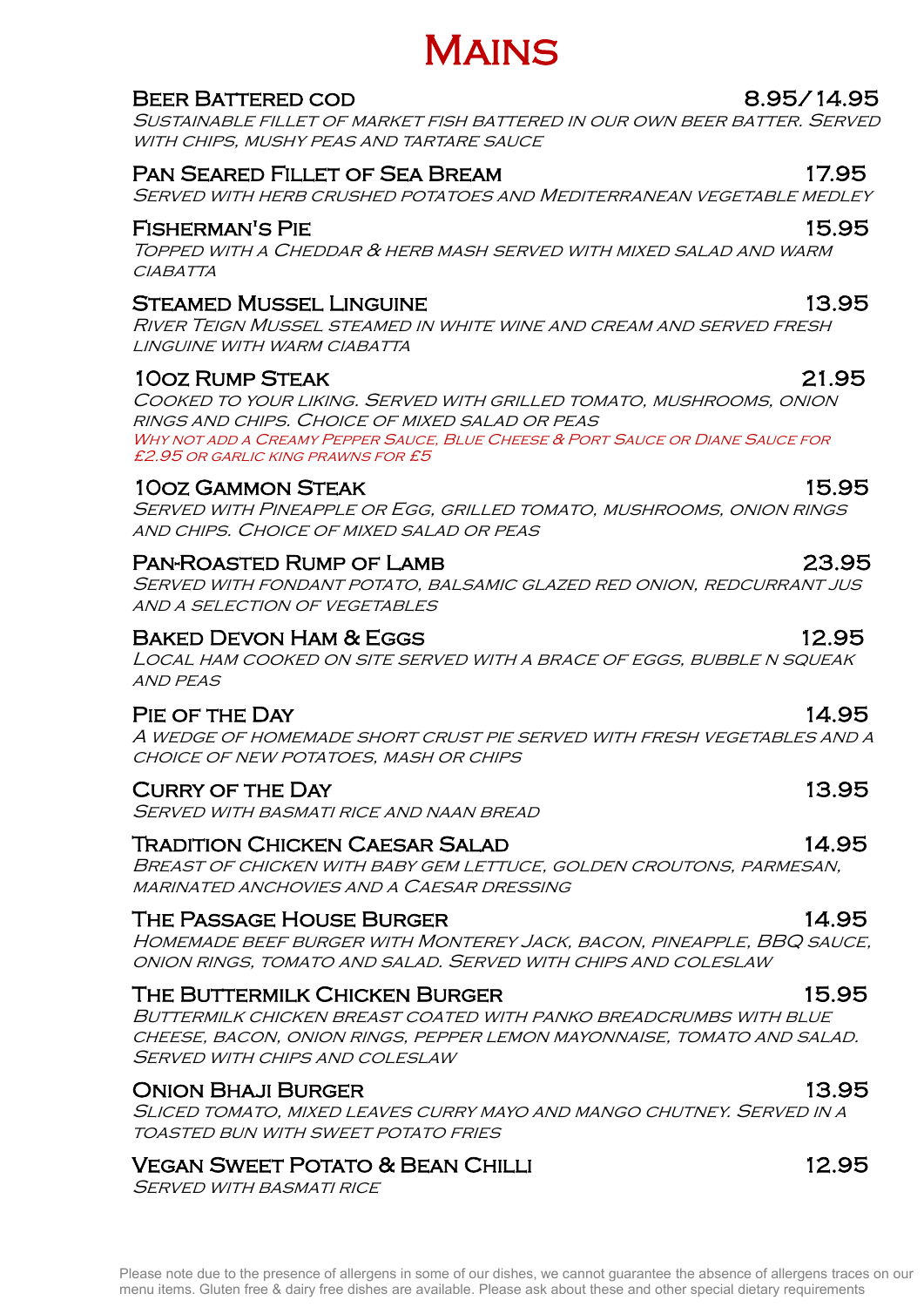### BEER BATTERED COD 8.95/14.95

Sustainable fillet of market fish battered in our own beer batter. Served WITH CHIPS, MUSHY PEAS AND TARTARE SAUCE

Mains

### Pan Seared Fillet of Sea Bream 17.95

SERVED WITH HERB CRUSHED POTATOES AND MEDITERRANEAN VEGETABLE MEDLEY

### Fisherman's Pie 15.95

Topped with a Cheddar & herb mash served with mixed salad and warm CIABATTA

#### STEAMED MUSSEL LINGUINE **13.95**

River Teign Mussel steamed in white wine and cream and served fresh linguine with warm ciabatta

### 10oz Rump Steak 21.95

Cooked to your liking. Served with grilled tomato, mushrooms, onion rings and chips. Choice of mixed salad or peas Why not add a Creamy Pepper Sauce, Blue Cheese & Port Sauce or Diane Sauce for £2.95 or garlic king prawns for £5

#### 10oz Gammon Steak 15.95

Served with Pineapple or Egg, grilled tomato, mushrooms, onion rings and chips. Choice of mixed salad or peas

#### Pan-Roasted Rump of Lamb 23.95

Served with fondant potato, balsamic glazed red onion, redcurrant jus and a selection of vegetables

### BAKED DEVON HAM & EGGS 12.95

Local ham cooked on site served with a brace of eggs, bubble n squeak and peas

### Pie of the Day 14.95

A wedge of homemade short crust pie served with fresh vegetables and a choice of new potatoes, mash or chips

#### CURRY OF THE DAY 13.95

Served with basmati rice and naan bread

#### Tradition Chicken Caesar Salad 14.95

Breast of chicken with baby gem lettuce, golden croutons, parmesan, marinated anchovies and a Caesar dressing

### THE PASSAGE HOUSE BURGER 14.95

Homemade beef burger with Monterey Jack, bacon, pineapple, BBQ sauce, onion rings, tomato and salad. Served with chips and coleslaw

### The Buttermilk Chicken Burger 15.95

Buttermilk chicken breast coated with panko breadcrumbs with blue cheese, bacon, onion rings, pepper lemon mayonnaise, tomato and salad. SERVED WITH CHIPS AND COLESLAW

### Onion Bhaji Burger 13.95

Sliced tomato, mixed leaves curry mayo and mango chutney. Served in a toasted bun with sweet potato fries

### Vegan Sweet Potato & Bean Chilli 12.95

SERVED WITH BASMATI RICE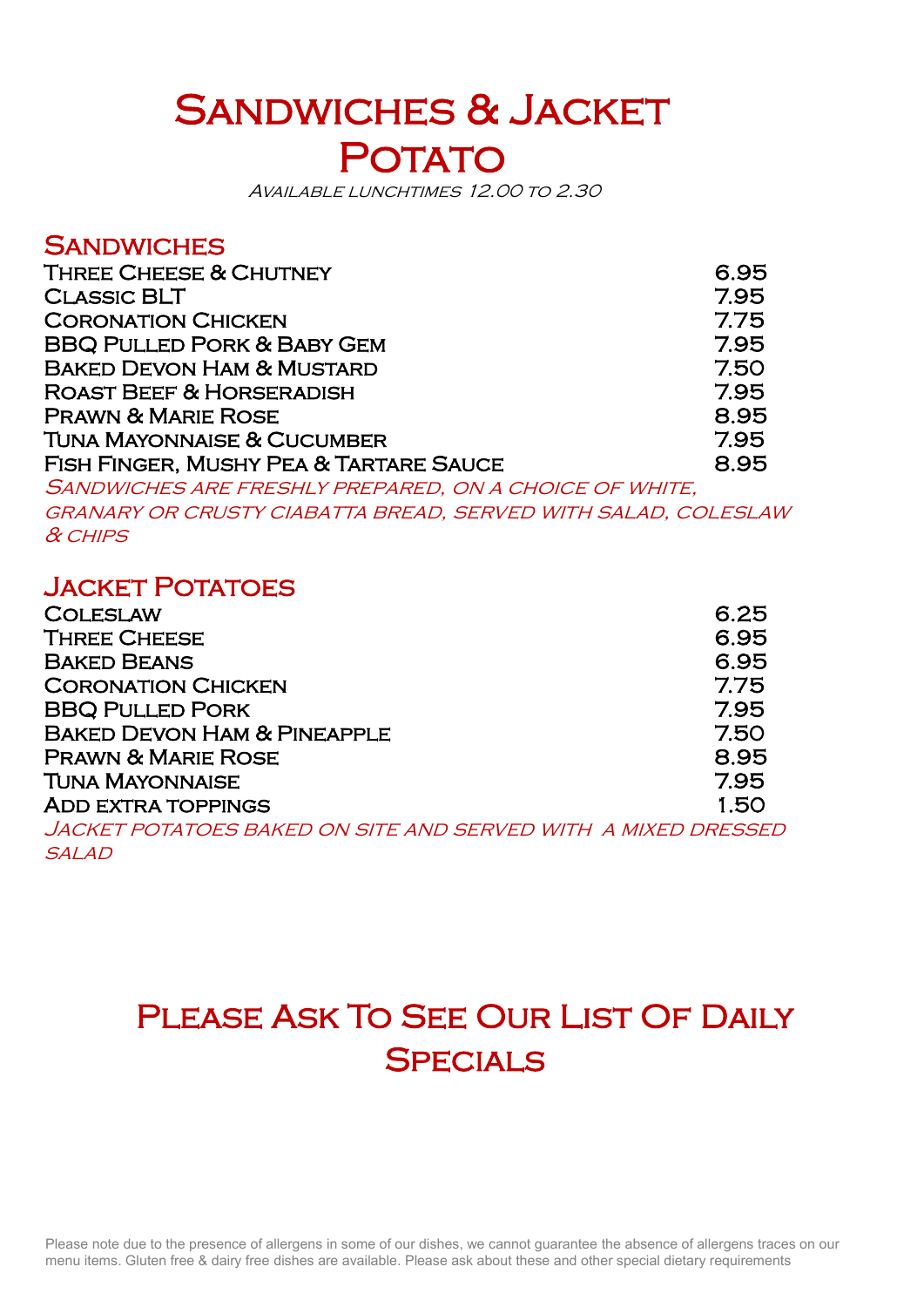# SANDWICHES & JACKET POTATO

Available lunchtimes 12.00 to 2.30

### **SANDWICHES**

| <b>THREE CHEESE &amp; CHUTNEY</b>      | 6.95 |
|----------------------------------------|------|
| <b>CLASSIC BLT</b>                     | 7.95 |
| <b>CORONATION CHICKEN</b>              | 7.75 |
| <b>BBQ PULLED PORK &amp; BABY GEM</b>  | 7.95 |
| <b>BAKED DEVON HAM &amp; MUSTARD</b>   | 7.50 |
| <b>ROAST BEEF &amp; HORSERADISH</b>    | 7.95 |
| <b>PRAWN &amp; MARIE ROSE</b>          | 8.95 |
| <b>TUNA MAYONNAISE &amp; CUCUMBER</b>  | 7.95 |
| FISH FINGER, MUSHY PEA & TARTARE SAUCE | 8.95 |

Sandwiches are freshly prepared, on a choice of white, granary or crusty ciabatta bread, served with salad, coleslaw & chips

### Jacket Potatoes

| <b>COLESLAW</b>                                               | 6.25 |
|---------------------------------------------------------------|------|
| <b>THREE CHEESE</b>                                           | 6.95 |
| <b>BAKED BEANS</b>                                            | 6.95 |
| <b>CORONATION CHICKEN</b>                                     | 7.75 |
| <b>BBQ PULLED PORK</b>                                        | 7.95 |
| <b>BAKED DEVON HAM &amp; PINEAPPLE</b>                        | 7.50 |
| <b>PRAWN &amp; MARIE ROSE</b>                                 | 8.95 |
| <b>TUNA MAYONNAISE</b>                                        | 7.95 |
| <b>ADD EXTRA TOPPINGS</b>                                     | 1.50 |
| JACKET POTATOES BAKED ON SITE AND SERVED WITH A MIXED DRESSED |      |

**SALAD** 

## PLEASE ASK TO SEE OUR LIST OF DAILY SPECIALS

 Please note due to the presence of allergens in some of our dishes, we cannot guarantee the absence of allergens traces on our Please note due to the presence of allergens in some of our dishes, we cannot guarantee the absence of allergens traces<br>menu items. Gluten free & dairy free dishes are available. Please ask about these and other special di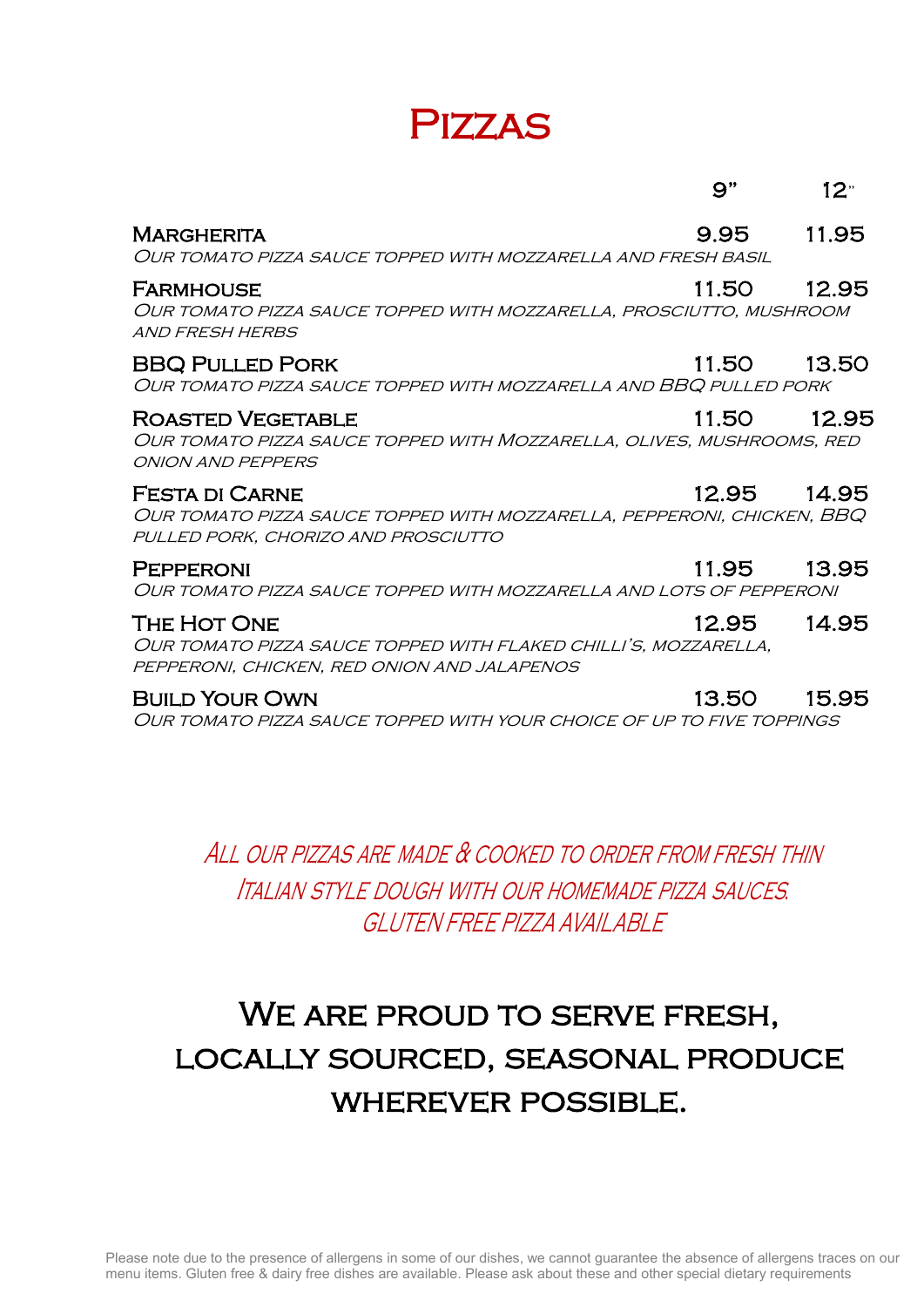## Pizzas

|                                                                                                                                        | 9"          | 12 <sup>0</sup> |
|----------------------------------------------------------------------------------------------------------------------------------------|-------------|-----------------|
| <b>MARGHERITA</b><br>OUR TOMATO PIZZA SAUCE TOPPED WITH MOZZARELLA AND FRESH BASIL                                                     | 9.95        | 11.95           |
| <b>FARMHOUSE</b><br>OUR TOMATO PIZZA SAUCE TOPPED WITH MOZZARELLA, PROSCIUTTO, MUSHROOM<br>AND FRESH HERBS                             | 11.50       | 12.95           |
| <b>BBQ PULLED PORK</b><br>OUR TOMATO PIZZA SAUCE TOPPED WITH MOZZARELLA AND BBQ PULLED PORK                                            | 11.50       | 13.50           |
| <b>ROASTED VEGETABLE</b><br>OUR TOMATO PIZZA SAUCE TOPPED WITH MOZZARELLA, OLIVES, MUSHROOMS, RED<br><b>ONION AND PEPPERS</b>          | 11.50       | 12.95           |
| <b>FESTA DI CARNE</b><br>OUR TOMATO PIZZA SAUCE TOPPED WITH MOZZARELLA, PEPPERONI, CHICKEN, BBQ<br>PULLED PORK, CHORIZO AND PROSCIUTTO | 12.95 14.95 |                 |
| <b>PEPPERONI</b><br>OUR TOMATO PIZZA SAUCE TOPPED WITH MOZZARELLA AND LOTS OF PEPPERONI                                                | 11.95       | 13.95           |
| THE HOT ONE<br>OUR TOMATO PIZZA SAUCE TOPPED WITH FLAKED CHILLI'S, MOZZARELLA,<br>PEPPERONI, CHICKEN, RED ONION AND JALAPENOS          | 12.95       | 14.95           |
| <b>BUILD YOUR OWN</b>                                                                                                                  | 13.50       | 15.95           |

Our tomato pizza sauce topped with your choice of up to five toppings

All our pizzas are made & cooked to order from fresh thin Italian style dough with our homemade pizza sauces*.* GLUTEN FREE PIZZA AVAILABLE

## WE ARE PROUD TO SERVE FRESH, locally sourced, seasonal produce wherever possible.

 Please note due to the presence of allergens in some of our dishes, we cannot guarantee the absence of allergens traces on our menu items. Gluten free & dairy free dishes are available. Please ask about these and other special dietary requirements